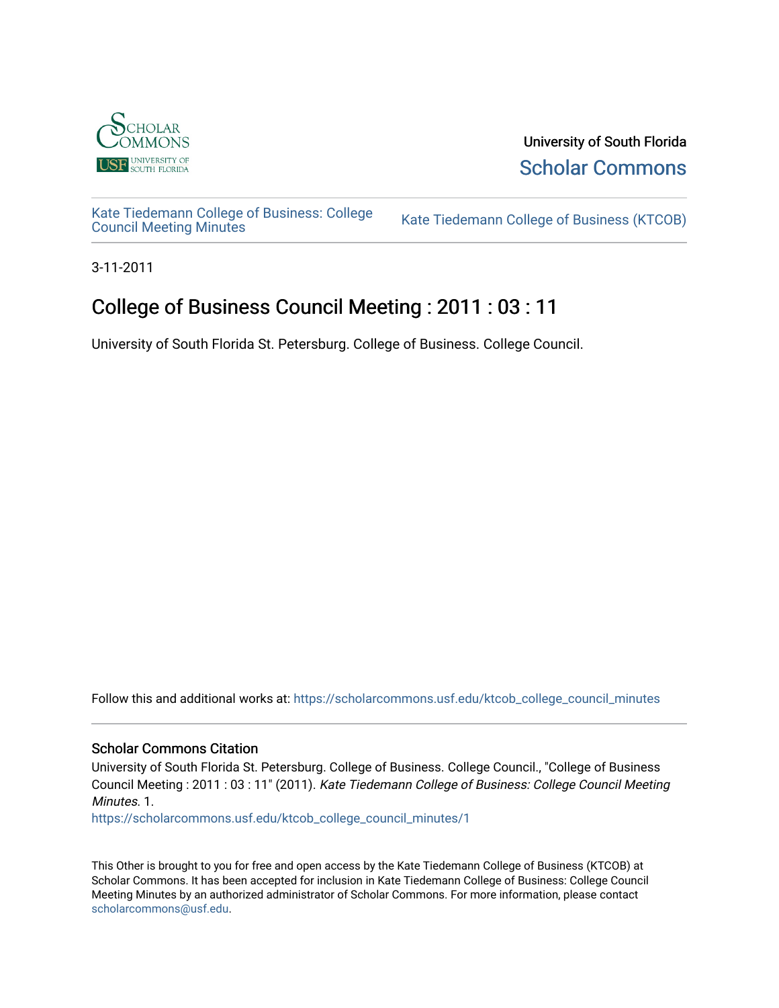

University of South Florida [Scholar Commons](https://scholarcommons.usf.edu/) 

[Kate Tiedemann College of Business: College](https://scholarcommons.usf.edu/ktcob_college_council_minutes)

Kate Tiedemann College of Business (KTCOB)

3-11-2011

## College of Business Council Meeting : 2011 : 03 : 11

University of South Florida St. Petersburg. College of Business. College Council.

Follow this and additional works at: [https://scholarcommons.usf.edu/ktcob\\_college\\_council\\_minutes](https://scholarcommons.usf.edu/ktcob_college_council_minutes?utm_source=scholarcommons.usf.edu%2Fktcob_college_council_minutes%2F1&utm_medium=PDF&utm_campaign=PDFCoverPages)

## Scholar Commons Citation

University of South Florida St. Petersburg. College of Business. College Council., "College of Business Council Meeting : 2011 : 03 : 11" (2011). Kate Tiedemann College of Business: College Council Meeting Minutes. 1.

[https://scholarcommons.usf.edu/ktcob\\_college\\_council\\_minutes/1](https://scholarcommons.usf.edu/ktcob_college_council_minutes/1?utm_source=scholarcommons.usf.edu%2Fktcob_college_council_minutes%2F1&utm_medium=PDF&utm_campaign=PDFCoverPages) 

This Other is brought to you for free and open access by the Kate Tiedemann College of Business (KTCOB) at Scholar Commons. It has been accepted for inclusion in Kate Tiedemann College of Business: College Council Meeting Minutes by an authorized administrator of Scholar Commons. For more information, please contact [scholarcommons@usf.edu.](mailto:scholarcommons@usf.edu)